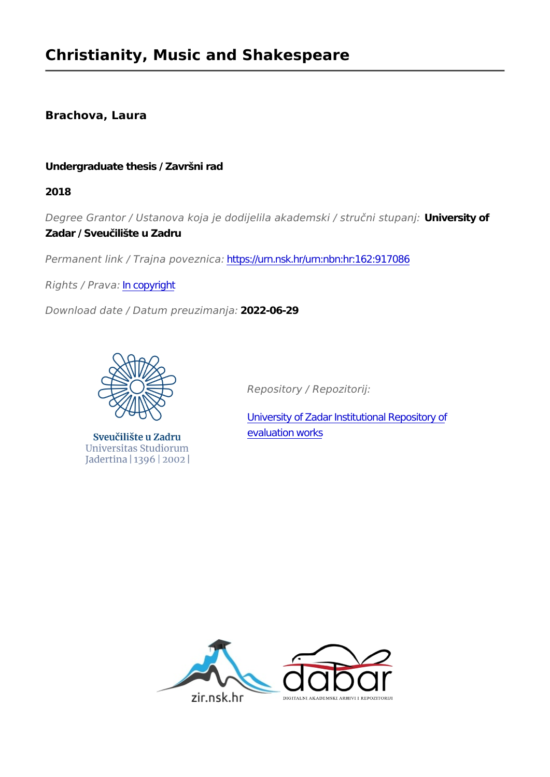### **Brachova, Laura**

#### **Undergraduate thesis / Završni rad**

**2018**

*Degree Grantor / Ustanova koja je dodijelila akademski / stručni stupanj:* **University of Zadar / Sveučilište u Zadru**

*Permanent link / Trajna poveznica:* <https://urn.nsk.hr/urn:nbn:hr:162:917086>

*Rights / Prava:* [In copyright](http://rightsstatements.org/vocab/InC/1.0/)

*Download date / Datum preuzimanja:* **2022-06-29**



Sveučilište u Zadru Universitas Studiorum Jadertina | 1396 | 2002 |

*Repository / Repozitorij:*

[University of Zadar Institutional Repository of](https://repozitorij.unizd.hr) [evaluation works](https://repozitorij.unizd.hr)

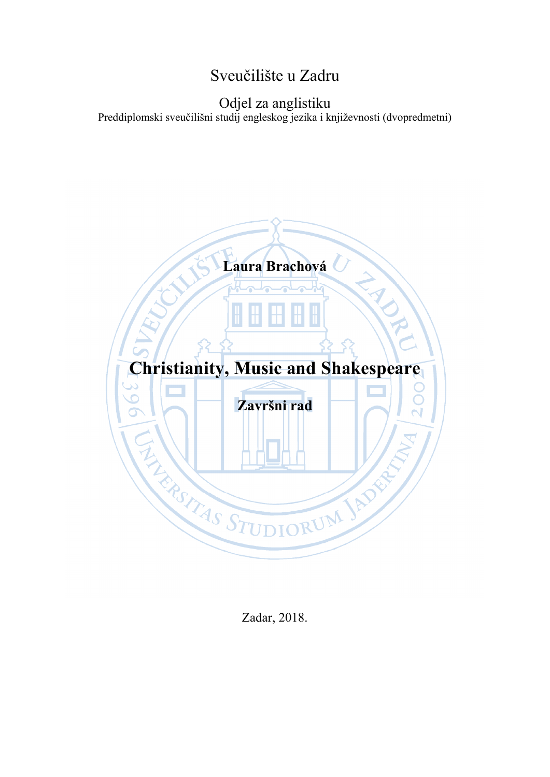# Sveučilište u Zadru

### Odjel za anglistiku Preddiplomski sveučilišni studij engleskog jezika i književnosti (dvopredmetni)



Zadar, 2018.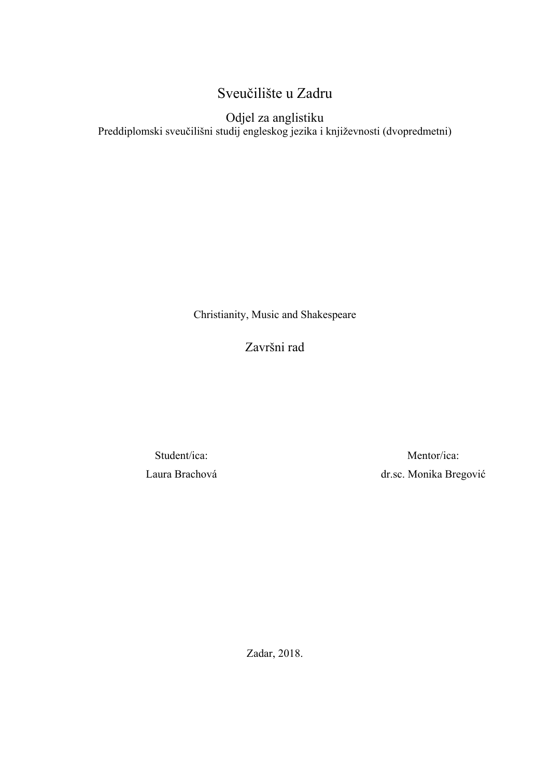# Sveučilište u Zadru

Odjel za anglistiku Preddiplomski sveučilišni studij engleskog jezika i književnosti (dvopredmetni)

Christianity, Music and Shakespeare

Završni rad

Student/ica: Laura Brachová

Mentor/ica: dr.sc. Monika Bregović

Zadar, 2018.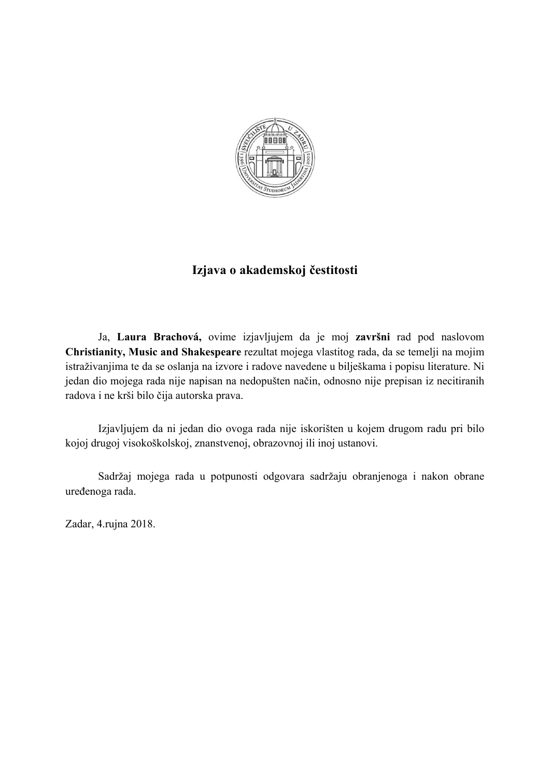

### **Izjava o akademskoj čestitosti**

Ja, **Laura Brachová,** ovime izjavljujem da je moj **završni** rad pod naslovom **Christianity, Music and Shakespeare** rezultat mojega vlastitog rada, da se temelji na mojim istraživanjima te da se oslanja na izvore i radove navedene u bilješkama i popisu literature. Ni jedan dio mojega rada nije napisan na nedopušten način, odnosno nije prepisan iz necitiranih radova i ne krši bilo čija autorska prava.

Izjavljujem da ni jedan dio ovoga rada nije iskorišten u kojem drugom radu pri bilo kojoj drugoj visokoškolskoj, znanstvenoj, obrazovnoj ili inoj ustanovi.

Sadržaj mojega rada u potpunosti odgovara sadržaju obranjenoga i nakon obrane uređenoga rada.

Zadar, 4.rujna 2018.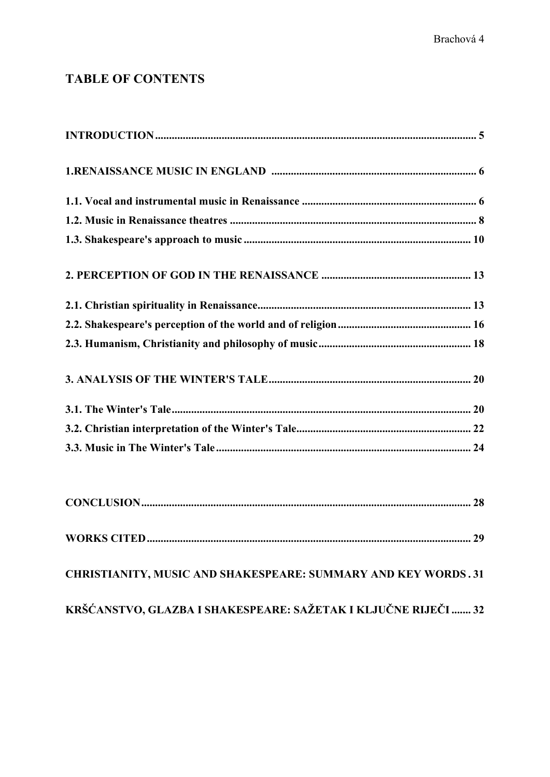## **TABLE OF CONTENTS**

| 29<br><b>WORKS CITED</b>                                       |
|----------------------------------------------------------------|
| CHRISTIANITY, MUSIC AND SHAKESPEARE: SUMMARY AND KEY WORDS.31  |
| KRŠĆANSTVO, GLAZBA I SHAKESPEARE: SAŽETAK I KLJUČNE RIJEČI  32 |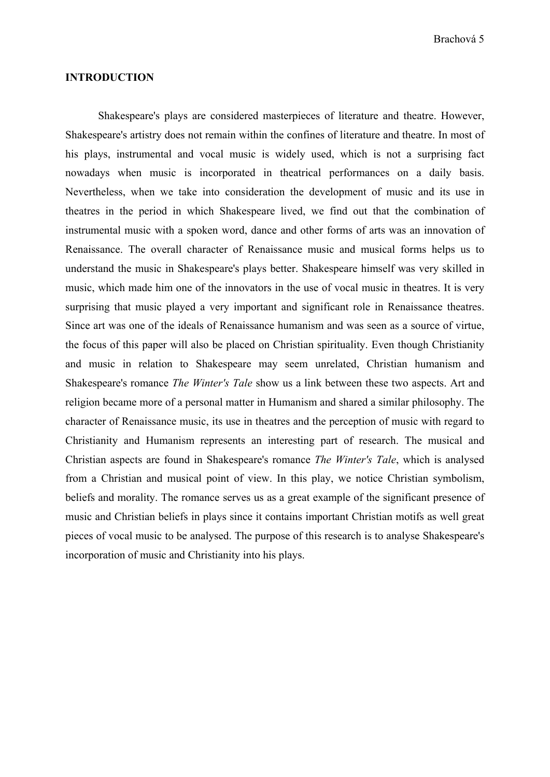#### **INTRODUCTION**

Shakespeare's plays are considered masterpieces of literature and theatre. However, Shakespeare's artistry does not remain within the confines of literature and theatre. In most of his plays, instrumental and vocal music is widely used, which is not a surprising fact nowadays when music is incorporated in theatrical performances on a daily basis. Nevertheless, when we take into consideration the development of music and its use in theatres in the period in which Shakespeare lived, we find out that the combination of instrumental music with a spoken word, dance and other forms of arts was an innovation of Renaissance. The overall character of Renaissance music and musical forms helps us to understand the music in Shakespeare's plays better. Shakespeare himself was very skilled in music, which made him one of the innovators in the use of vocal music in theatres. It is very surprising that music played a very important and significant role in Renaissance theatres. Since art was one of the ideals of Renaissance humanism and was seen as a source of virtue, the focus of this paper will also be placed on Christian spirituality. Even though Christianity and music in relation to Shakespeare may seem unrelated, Christian humanism and Shakespeare's romance *The Winter's Tale* show us a link between these two aspects. Art and religion became more of a personal matter in Humanism and shared a similar philosophy. The character of Renaissance music, its use in theatres and the perception of music with regard to Christianity and Humanism represents an interesting part of research. The musical and Christian aspects are found in Shakespeare's romance *The Winter's Tale*, which is analysed from a Christian and musical point of view. In this play, we notice Christian symbolism, beliefs and morality. The romance serves us as a great example of the significant presence of music and Christian beliefs in plays since it contains important Christian motifs as well great pieces of vocal music to be analysed. The purpose of this research is to analyse Shakespeare's incorporation of music and Christianity into his plays.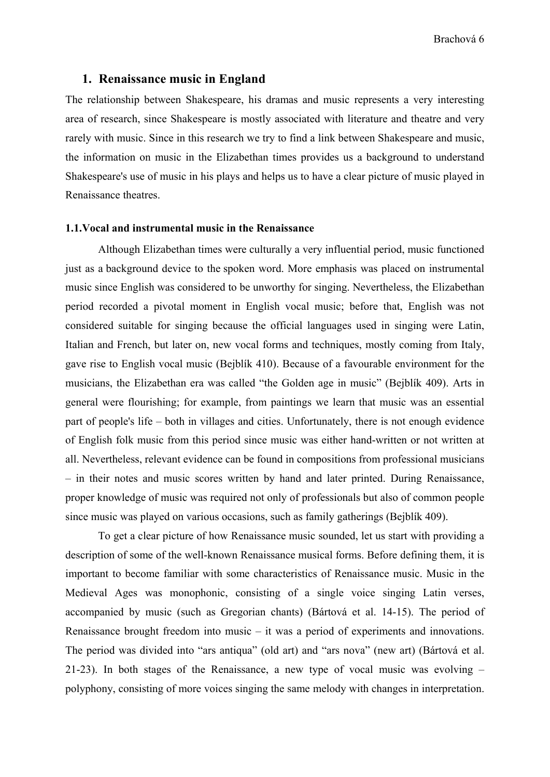#### **1. Renaissance music in England**

The relationship between Shakespeare, his dramas and music represents a very interesting area of research, since Shakespeare is mostly associated with literature and theatre and very rarely with music. Since in this research we try to find a link between Shakespeare and music, the information on music in the Elizabethan times provides us a background to understand Shakespeare's use of music in his plays and helps us to have a clear picture of music played in Renaissance theatres.

#### **1.1.Vocal and instrumental music in the Renaissance**

Although Elizabethan times were culturally a very influential period, music functioned just as a background device to the spoken word. More emphasis was placed on instrumental music since English was considered to be unworthy for singing. Nevertheless, the Elizabethan period recorded a pivotal moment in English vocal music; before that, English was not considered suitable for singing because the official languages used in singing were Latin, Italian and French, but later on, new vocal forms and techniques, mostly coming from Italy, gave rise to English vocal music (Bejblík 410). Because of a favourable environment for the musicians, the Elizabethan era was called "the Golden age in music" (Bejblík 409). Arts in general were flourishing; for example, from paintings we learn that music was an essential part of people's life – both in villages and cities. Unfortunately, there is not enough evidence of English folk music from this period since music was either hand-written or not written at all. Nevertheless, relevant evidence can be found in compositions from professional musicians – in their notes and music scores written by hand and later printed. During Renaissance, proper knowledge of music was required not only of professionals but also of common people since music was played on various occasions, such as family gatherings (Bejblík 409).

To get a clear picture of how Renaissance music sounded, let us start with providing a description of some of the well-known Renaissance musical forms. Before defining them, it is important to become familiar with some characteristics of Renaissance music. Music in the Medieval Ages was monophonic, consisting of a single voice singing Latin verses, accompanied by music (such as Gregorian chants) (Bártová et al. 14-15). The period of Renaissance brought freedom into music – it was a period of experiments and innovations. The period was divided into "ars antiqua" (old art) and "ars nova" (new art) (Bártová et al. 21-23). In both stages of the Renaissance, a new type of vocal music was evolving – polyphony, consisting of more voices singing the same melody with changes in interpretation.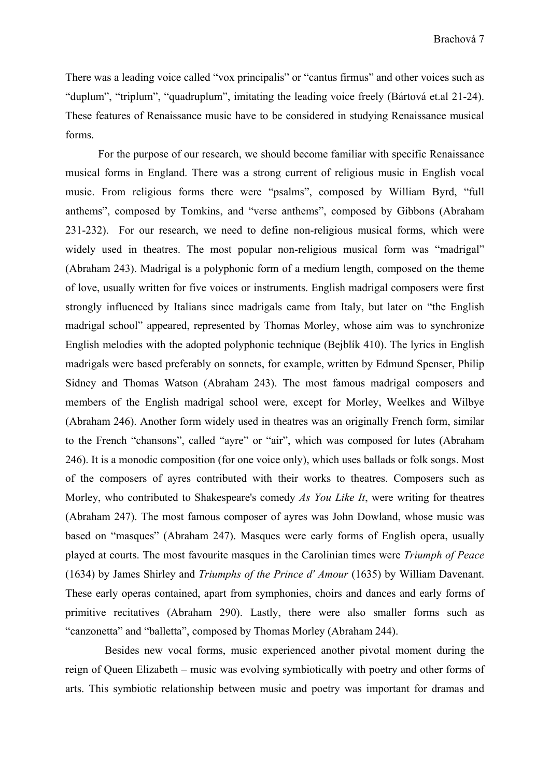There was a leading voice called "vox principalis" or "cantus firmus" and other voices such as "duplum", "triplum", "quadruplum", imitating the leading voice freely (Bártová et.al 21-24). These features of Renaissance music have to be considered in studying Renaissance musical forms.

For the purpose of our research, we should become familiar with specific Renaissance musical forms in England. There was a strong current of religious music in English vocal music. From religious forms there were "psalms", composed by William Byrd, "full anthems", composed by Tomkins, and "verse anthems", composed by Gibbons (Abraham 231-232). For our research, we need to define non-religious musical forms, which were widely used in theatres. The most popular non-religious musical form was "madrigal" (Abraham 243). Madrigal is a polyphonic form of a medium length, composed on the theme of love, usually written for five voices or instruments. English madrigal composers were first strongly influenced by Italians since madrigals came from Italy, but later on "the English madrigal school" appeared, represented by Thomas Morley, whose aim was to synchronize English melodies with the adopted polyphonic technique (Bejblík 410). The lyrics in English madrigals were based preferably on sonnets, for example, written by Edmund Spenser, Philip Sidney and Thomas Watson (Abraham 243). The most famous madrigal composers and members of the English madrigal school were, except for Morley, Weelkes and Wilbye (Abraham 246). Another form widely used in theatres was an originally French form, similar to the French "chansons", called "ayre" or "air", which was composed for lutes (Abraham 246). It is a monodic composition (for one voice only), which uses ballads or folk songs. Most of the composers of ayres contributed with their works to theatres. Composers such as Morley, who contributed to Shakespeare's comedy *As You Like It*, were writing for theatres (Abraham 247). The most famous composer of ayres was John Dowland, whose music was based on "masques" (Abraham 247). Masques were early forms of English opera, usually played at courts. The most favourite masques in the Carolinian times were *Triumph of Peace*  (1634) by James Shirley and *Triumphs of the Prince d' Amour* (1635) by William Davenant. These early operas contained, apart from symphonies, choirs and dances and early forms of primitive recitatives (Abraham 290). Lastly, there were also smaller forms such as "canzonetta" and "balletta", composed by Thomas Morley (Abraham 244).

Besides new vocal forms, music experienced another pivotal moment during the reign of Queen Elizabeth – music was evolving symbiotically with poetry and other forms of arts. This symbiotic relationship between music and poetry was important for dramas and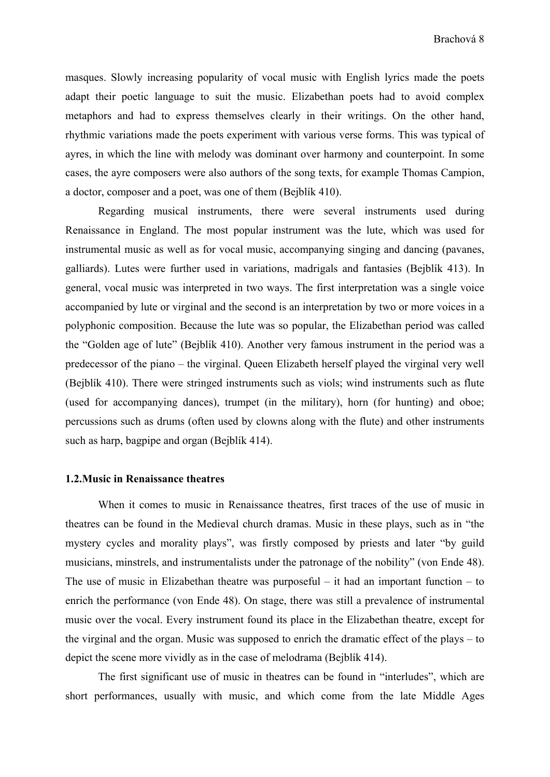masques. Slowly increasing popularity of vocal music with English lyrics made the poets adapt their poetic language to suit the music. Elizabethan poets had to avoid complex metaphors and had to express themselves clearly in their writings. On the other hand, rhythmic variations made the poets experiment with various verse forms. This was typical of ayres, in which the line with melody was dominant over harmony and counterpoint. In some cases, the ayre composers were also authors of the song texts, for example Thomas Campion, a doctor, composer and a poet, was one of them (Bejblík 410).

Regarding musical instruments, there were several instruments used during Renaissance in England. The most popular instrument was the lute, which was used for instrumental music as well as for vocal music, accompanying singing and dancing (pavanes, galliards). Lutes were further used in variations, madrigals and fantasies (Bejblík 413). In general, vocal music was interpreted in two ways. The first interpretation was a single voice accompanied by lute or virginal and the second is an interpretation by two or more voices in a polyphonic composition. Because the lute was so popular, the Elizabethan period was called the "Golden age of lute" (Bejblík 410). Another very famous instrument in the period was a predecessor of the piano – the virginal. Queen Elizabeth herself played the virginal very well (Bejblík 410). There were stringed instruments such as viols; wind instruments such as flute (used for accompanying dances), trumpet (in the military), horn (for hunting) and oboe; percussions such as drums (often used by clowns along with the flute) and other instruments such as harp, bagpipe and organ (Bejblík 414).

#### **1.2.Music in Renaissance theatres**

When it comes to music in Renaissance theatres, first traces of the use of music in theatres can be found in the Medieval church dramas. Music in these plays, such as in "the mystery cycles and morality plays", was firstly composed by priests and later "by guild musicians, minstrels, and instrumentalists under the patronage of the nobility" (von Ende 48). The use of music in Elizabethan theatre was purposeful – it had an important function – to enrich the performance (von Ende 48). On stage, there was still a prevalence of instrumental music over the vocal. Every instrument found its place in the Elizabethan theatre, except for the virginal and the organ. Music was supposed to enrich the dramatic effect of the plays – to depict the scene more vividly as in the case of melodrama (Bejblík 414).

The first significant use of music in theatres can be found in "interludes", which are short performances, usually with music, and which come from the late Middle Ages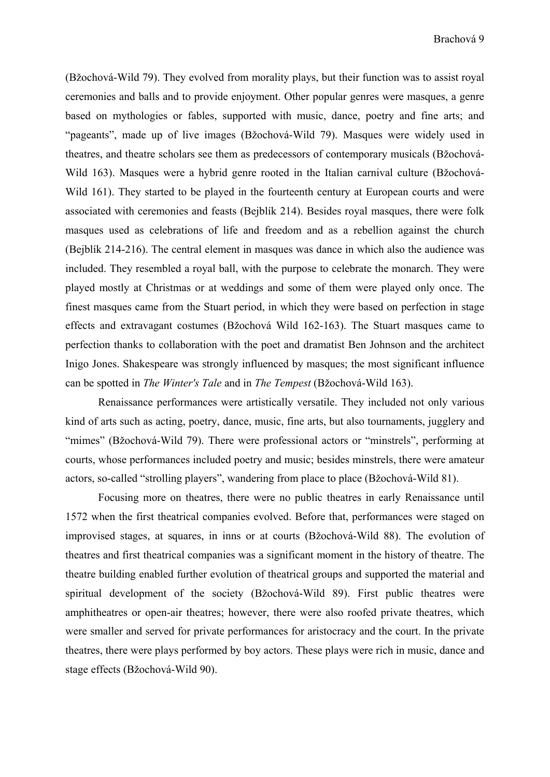(Bžochová-Wild 79). They evolved from morality plays, but their function was to assist royal ceremonies and balls and to provide enjoyment. Other popular genres were masques, a genre based on mythologies or fables, supported with music, dance, poetry and fine arts; and "pageants", made up of live images (Bžochová-Wild 79). Masques were widely used in theatres, and theatre scholars see them as predecessors of contemporary musicals (Bžochová-Wild 163). Masques were a hybrid genre rooted in the Italian carnival culture (Bžochová-Wild 161). They started to be played in the fourteenth century at European courts and were associated with ceremonies and feasts (Bejblík 214). Besides royal masques, there were folk masques used as celebrations of life and freedom and as a rebellion against the church (Bejblík 214-216). The central element in masques was dance in which also the audience was included. They resembled a royal ball, with the purpose to celebrate the monarch. They were played mostly at Christmas or at weddings and some of them were played only once. The finest masques came from the Stuart period, in which they were based on perfection in stage effects and extravagant costumes (Bžochová Wild 162-163). The Stuart masques came to perfection thanks to collaboration with the poet and dramatist Ben Johnson and the architect Inigo Jones. Shakespeare was strongly influenced by masques; the most significant influence can be spotted in *The Winter's Tale* and in *The Tempest* (Bžochová-Wild 163).

Renaissance performances were artistically versatile. They included not only various kind of arts such as acting, poetry, dance, music, fine arts, but also tournaments, jugglery and "mimes" (Bžochová-Wild 79). There were professional actors or "minstrels", performing at courts, whose performances included poetry and music; besides minstrels, there were amateur actors, so-called "strolling players", wandering from place to place (Bžochová-Wild 81).

Focusing more on theatres, there were no public theatres in early Renaissance until 1572 when the first theatrical companies evolved. Before that, performances were staged on improvised stages, at squares, in inns or at courts (Bžochová-Wild 88). The evolution of theatres and first theatrical companies was a significant moment in the history of theatre. The theatre building enabled further evolution of theatrical groups and supported the material and spiritual development of the society (Bžochová-Wild 89). First public theatres were amphitheatres or open-air theatres; however, there were also roofed private theatres, which were smaller and served for private performances for aristocracy and the court. In the private theatres, there were plays performed by boy actors. These plays were rich in music, dance and stage effects (Bžochová-Wild 90).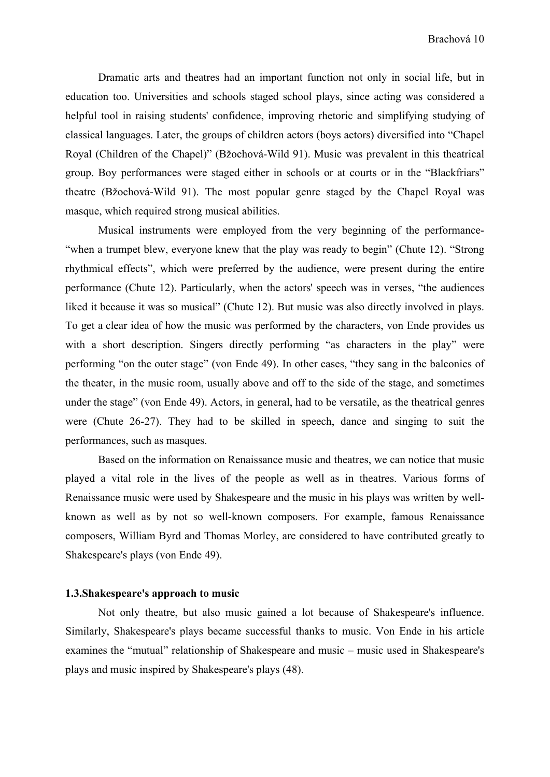Dramatic arts and theatres had an important function not only in social life, but in education too. Universities and schools staged school plays, since acting was considered a helpful tool in raising students' confidence, improving rhetoric and simplifying studying of classical languages. Later, the groups of children actors (boys actors) diversified into "Chapel Royal (Children of the Chapel)" (Bžochová-Wild 91). Music was prevalent in this theatrical group. Boy performances were staged either in schools or at courts or in the "Blackfriars" theatre (Bžochová-Wild 91). The most popular genre staged by the Chapel Royal was masque, which required strong musical abilities.

Musical instruments were employed from the very beginning of the performance- "when a trumpet blew, everyone knew that the play was ready to begin" (Chute 12). "Strong rhythmical effects", which were preferred by the audience, were present during the entire performance (Chute 12). Particularly, when the actors' speech was in verses, "the audiences liked it because it was so musical" (Chute 12). But music was also directly involved in plays. To get a clear idea of how the music was performed by the characters, von Ende provides us with a short description. Singers directly performing "as characters in the play" were performing "on the outer stage" (von Ende 49). In other cases, "they sang in the balconies of the theater, in the music room, usually above and off to the side of the stage, and sometimes under the stage" (von Ende 49). Actors, in general, had to be versatile, as the theatrical genres were (Chute 26-27). They had to be skilled in speech, dance and singing to suit the performances, such as masques.

Based on the information on Renaissance music and theatres, we can notice that music played a vital role in the lives of the people as well as in theatres. Various forms of Renaissance music were used by Shakespeare and the music in his plays was written by wellknown as well as by not so well-known composers. For example, famous Renaissance composers, William Byrd and Thomas Morley, are considered to have contributed greatly to Shakespeare's plays (von Ende 49).

#### **1.3.Shakespeare's approach to music**

Not only theatre, but also music gained a lot because of Shakespeare's influence. Similarly, Shakespeare's plays became successful thanks to music. Von Ende in his article examines the "mutual" relationship of Shakespeare and music – music used in Shakespeare's plays and music inspired by Shakespeare's plays (48).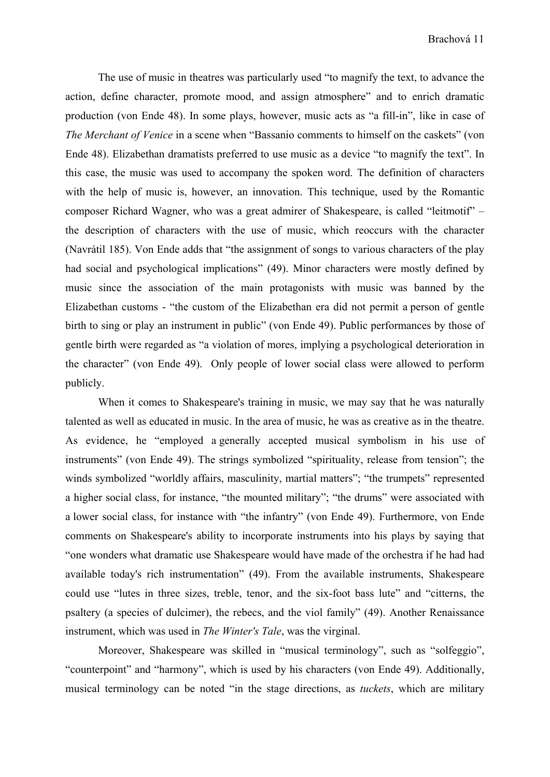The use of music in theatres was particularly used "to magnify the text, to advance the action, define character, promote mood, and assign atmosphere" and to enrich dramatic production (von Ende 48). In some plays, however, music acts as "a fill-in", like in case of *The Merchant of Venice* in a scene when "Bassanio comments to himself on the caskets" (von Ende 48). Elizabethan dramatists preferred to use music as a device "to magnify the text". In this case, the music was used to accompany the spoken word. The definition of characters with the help of music is, however, an innovation. This technique, used by the Romantic composer Richard Wagner, who was a great admirer of Shakespeare, is called "leitmotif" – the description of characters with the use of music, which reoccurs with the character (Navrátil 185). Von Ende adds that "the assignment of songs to various characters of the play had social and psychological implications" (49). Minor characters were mostly defined by music since the association of the main protagonists with music was banned by the Elizabethan customs - "the custom of the Elizabethan era did not permit a person of gentle birth to sing or play an instrument in public" (von Ende 49). Public performances by those of gentle birth were regarded as "a violation of mores, implying a psychological deterioration in the character" (von Ende 49). Only people of lower social class were allowed to perform publicly.

When it comes to Shakespeare's training in music, we may say that he was naturally talented as well as educated in music. In the area of music, he was as creative as in the theatre. As evidence, he "employed a generally accepted musical symbolism in his use of instruments" (von Ende 49). The strings symbolized "spirituality, release from tension"; the winds symbolized "worldly affairs, masculinity, martial matters"; "the trumpets" represented a higher social class, for instance, "the mounted military"; "the drums" were associated with a lower social class, for instance with "the infantry" (von Ende 49). Furthermore, von Ende comments on Shakespeare's ability to incorporate instruments into his plays by saying that "one wonders what dramatic use Shakespeare would have made of the orchestra if he had had available today's rich instrumentation" (49). From the available instruments, Shakespeare could use "lutes in three sizes, treble, tenor, and the six-foot bass lute" and "citterns, the psaltery (a species of dulcimer), the rebecs, and the viol family" (49). Another Renaissance instrument, which was used in *The Winter's Tale*, was the virginal.

Moreover, Shakespeare was skilled in "musical terminology", such as "solfeggio", "counterpoint" and "harmony", which is used by his characters (von Ende 49). Additionally, musical terminology can be noted "in the stage directions, as *tuckets*, which are military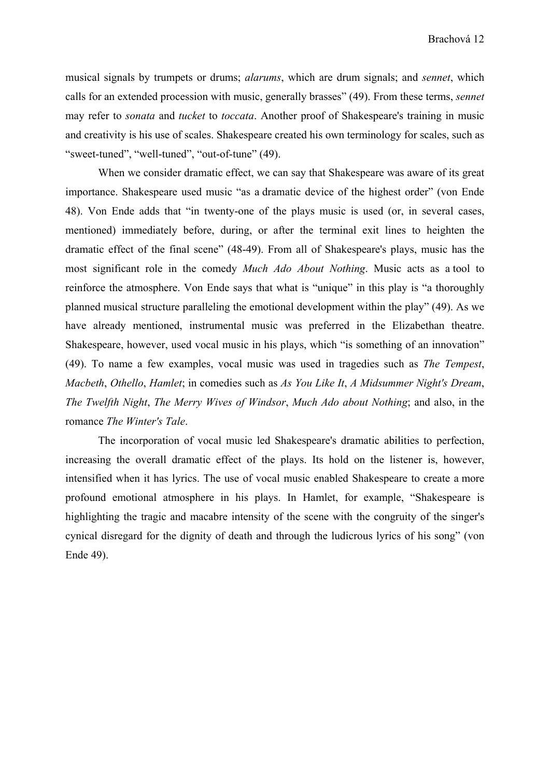musical signals by trumpets or drums; *alarums*, which are drum signals; and *sennet*, which calls for an extended procession with music, generally brasses" (49). From these terms, *sennet*  may refer to *sonata* and *tucket* to *toccata*. Another proof of Shakespeare's training in music and creativity is his use of scales. Shakespeare created his own terminology for scales, such as "sweet-tuned", "well-tuned", "out-of-tune" (49).

When we consider dramatic effect, we can say that Shakespeare was aware of its great importance. Shakespeare used music "as a dramatic device of the highest order" (von Ende 48). Von Ende adds that "in twenty-one of the plays music is used (or, in several cases, mentioned) immediately before, during, or after the terminal exit lines to heighten the dramatic effect of the final scene" (48-49). From all of Shakespeare's plays, music has the most significant role in the comedy *Much Ado About Nothing*. Music acts as a tool to reinforce the atmosphere. Von Ende says that what is "unique" in this play is "a thoroughly planned musical structure paralleling the emotional development within the play" (49). As we have already mentioned, instrumental music was preferred in the Elizabethan theatre. Shakespeare, however, used vocal music in his plays, which "is something of an innovation" (49). To name a few examples, vocal music was used in tragedies such as *The Tempest*, *Macbeth*, *Othello*, *Hamlet*; in comedies such as *As You Like It*, *A Midsummer Night's Dream*, *The Twelfth Night*, *The Merry Wives of Windsor*, *Much Ado about Nothing*; and also, in the romance *The Winter's Tale*.

The incorporation of vocal music led Shakespeare's dramatic abilities to perfection, increasing the overall dramatic effect of the plays. Its hold on the listener is, however, intensified when it has lyrics. The use of vocal music enabled Shakespeare to create a more profound emotional atmosphere in his plays. In Hamlet, for example, "Shakespeare is highlighting the tragic and macabre intensity of the scene with the congruity of the singer's cynical disregard for the dignity of death and through the ludicrous lyrics of his song" (von Ende 49).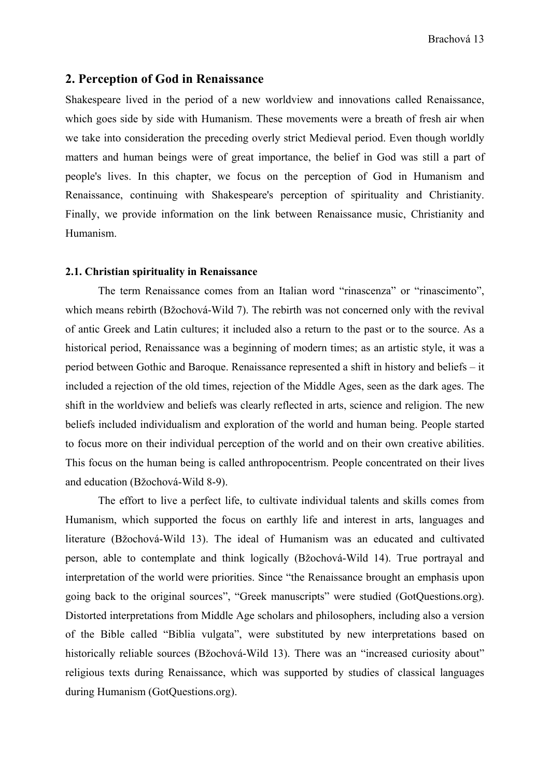#### **2. Perception of God in Renaissance**

Shakespeare lived in the period of a new worldview and innovations called Renaissance, which goes side by side with Humanism. These movements were a breath of fresh air when we take into consideration the preceding overly strict Medieval period. Even though worldly matters and human beings were of great importance, the belief in God was still a part of people's lives. In this chapter, we focus on the perception of God in Humanism and Renaissance, continuing with Shakespeare's perception of spirituality and Christianity. Finally, we provide information on the link between Renaissance music, Christianity and Humanism.

#### **2.1. Christian spirituality in Renaissance**

The term Renaissance comes from an Italian word "rinascenza" or "rinascimento", which means rebirth (Bžochová-Wild 7). The rebirth was not concerned only with the revival of antic Greek and Latin cultures; it included also a return to the past or to the source. As a historical period, Renaissance was a beginning of modern times; as an artistic style, it was a period between Gothic and Baroque. Renaissance represented a shift in history and beliefs – it included a rejection of the old times, rejection of the Middle Ages, seen as the dark ages. The shift in the worldview and beliefs was clearly reflected in arts, science and religion. The new beliefs included individualism and exploration of the world and human being. People started to focus more on their individual perception of the world and on their own creative abilities. This focus on the human being is called anthropocentrism. People concentrated on their lives and education (Bžochová-Wild 8-9).

The effort to live a perfect life, to cultivate individual talents and skills comes from Humanism, which supported the focus on earthly life and interest in arts, languages and literature (Bžochová-Wild 13). The ideal of Humanism was an educated and cultivated person, able to contemplate and think logically (Bžochová-Wild 14). True portrayal and interpretation of the world were priorities. Since "the Renaissance brought an emphasis upon going back to the original sources", "Greek manuscripts" were studied (GotQuestions.org). Distorted interpretations from Middle Age scholars and philosophers, including also a version of the Bible called "Biblia vulgata", were substituted by new interpretations based on historically reliable sources (Bžochová-Wild 13). There was an "increased curiosity about" religious texts during Renaissance, which was supported by studies of classical languages during Humanism (GotQuestions.org).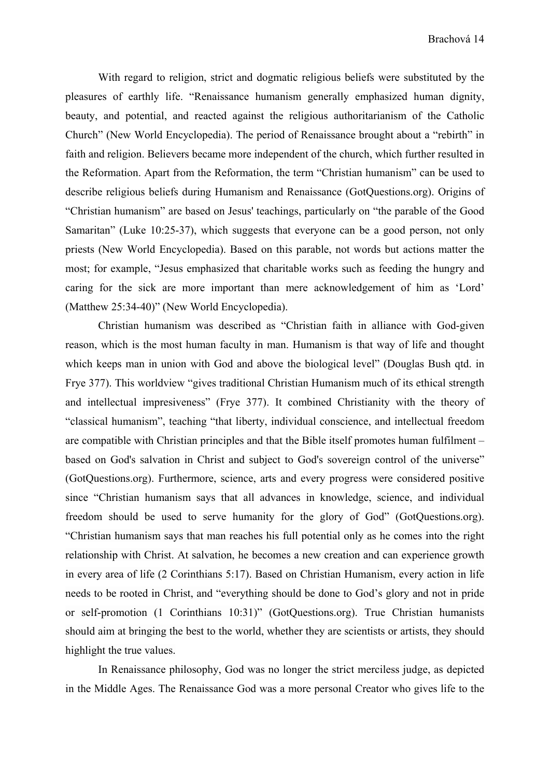With regard to religion, strict and dogmatic religious beliefs were substituted by the pleasures of earthly life. "Renaissance humanism generally emphasized human dignity, beauty, and potential, and reacted against the religious authoritarianism of the Catholic Church" (New World Encyclopedia). The period of Renaissance brought about a "rebirth" in faith and religion. Believers became more independent of the church, which further resulted in the Reformation. Apart from the Reformation, the term "Christian humanism" can be used to describe religious beliefs during Humanism and Renaissance (GotQuestions.org). Origins of "Christian humanism" are based on Jesus' teachings, particularly on "the parable of the Good Samaritan" (Luke 10:25-37), which suggests that everyone can be a good person, not only priests (New World Encyclopedia). Based on this parable, not words but actions matter the most; for example, "Jesus emphasized that charitable works such as feeding the hungry and caring for the sick are more important than mere acknowledgement of him as ʻLord' (Matthew 25:34-40)" (New World Encyclopedia).

Christian humanism was described as "Christian faith in alliance with God-given reason, which is the most human faculty in man. Humanism is that way of life and thought which keeps man in union with God and above the biological level" (Douglas Bush qtd. in Frye 377). This worldview "gives traditional Christian Humanism much of its ethical strength and intellectual impresiveness" (Frye 377). It combined Christianity with the theory of "classical humanism", teaching "that liberty, individual conscience, and intellectual freedom are compatible with Christian principles and that the Bible itself promotes human fulfilment – based on God's salvation in Christ and subject to God's sovereign control of the universe" (GotQuestions.org). Furthermore, science, arts and every progress were considered positive since "Christian humanism says that all advances in knowledge, science, and individual freedom should be used to serve humanity for the glory of God" (GotQuestions.org). "Christian humanism says that man reaches his full potential only as he comes into the right relationship with Christ. At salvation, he becomes a new creation and can experience growth in every area of life (2 Corinthians 5:17). Based on Christian Humanism, every action in life needs to be rooted in Christ, and "everything should be done to God's glory and not in pride or self-promotion (1 Corinthians 10:31)" (GotQuestions.org). True Christian humanists should aim at bringing the best to the world, whether they are scientists or artists, they should highlight the true values.

In Renaissance philosophy, God was no longer the strict merciless judge, as depicted in the Middle Ages. The Renaissance God was a more personal Creator who gives life to the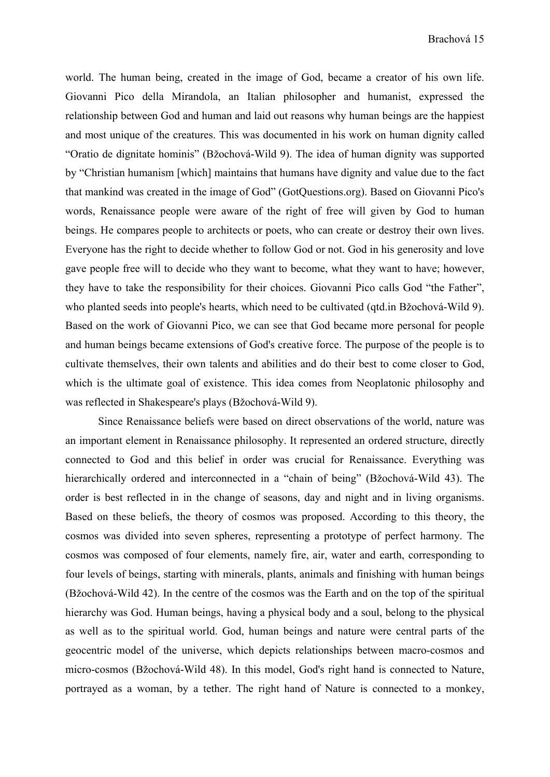world. The human being, created in the image of God, became a creator of his own life. Giovanni Pico della Mirandola, an Italian philosopher and humanist, expressed the relationship between God and human and laid out reasons why human beings are the happiest and most unique of the creatures. This was documented in his work on human dignity called "Oratio de dignitate hominis" (Bžochová-Wild 9). The idea of human dignity was supported by "Christian humanism [which] maintains that humans have dignity and value due to the fact that mankind was created in the image of God" (GotQuestions.org). Based on Giovanni Pico's words, Renaissance people were aware of the right of free will given by God to human beings. He compares people to architects or poets, who can create or destroy their own lives. Everyone has the right to decide whether to follow God or not. God in his generosity and love gave people free will to decide who they want to become, what they want to have; however, they have to take the responsibility for their choices. Giovanni Pico calls God "the Father", who planted seeds into people's hearts, which need to be cultivated (qtd.in Bžochová-Wild 9). Based on the work of Giovanni Pico, we can see that God became more personal for people and human beings became extensions of God's creative force. The purpose of the people is to cultivate themselves, their own talents and abilities and do their best to come closer to God, which is the ultimate goal of existence. This idea comes from Neoplatonic philosophy and was reflected in Shakespeare's plays (Bžochová-Wild 9).

Since Renaissance beliefs were based on direct observations of the world, nature was an important element in Renaissance philosophy. It represented an ordered structure, directly connected to God and this belief in order was crucial for Renaissance. Everything was hierarchically ordered and interconnected in a "chain of being" (Bžochová-Wild 43). The order is best reflected in in the change of seasons, day and night and in living organisms. Based on these beliefs, the theory of cosmos was proposed. According to this theory, the cosmos was divided into seven spheres, representing a prototype of perfect harmony. The cosmos was composed of four elements, namely fire, air, water and earth, corresponding to four levels of beings, starting with minerals, plants, animals and finishing with human beings (Bžochová-Wild 42). In the centre of the cosmos was the Earth and on the top of the spiritual hierarchy was God. Human beings, having a physical body and a soul, belong to the physical as well as to the spiritual world. God, human beings and nature were central parts of the geocentric model of the universe, which depicts relationships between macro-cosmos and micro-cosmos (Bžochová-Wild 48). In this model, God's right hand is connected to Nature, portrayed as a woman, by a tether. The right hand of Nature is connected to a monkey,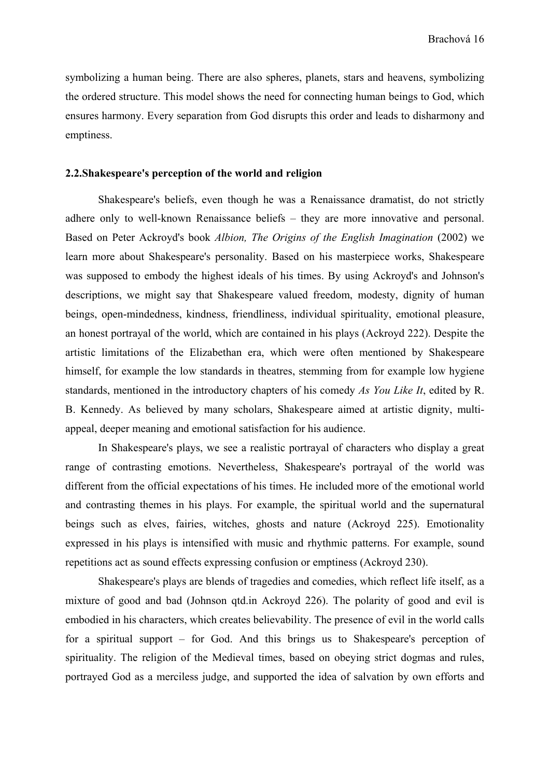symbolizing a human being. There are also spheres, planets, stars and heavens, symbolizing the ordered structure. This model shows the need for connecting human beings to God, which ensures harmony. Every separation from God disrupts this order and leads to disharmony and emptiness.

#### **2.2.Shakespeare's perception of the world and religion**

Shakespeare's beliefs, even though he was a Renaissance dramatist, do not strictly adhere only to well-known Renaissance beliefs – they are more innovative and personal. Based on Peter Ackroyd's book *Albion, The Origins of the English Imagination* (2002) we learn more about Shakespeare's personality. Based on his masterpiece works, Shakespeare was supposed to embody the highest ideals of his times. By using Ackroyd's and Johnson's descriptions, we might say that Shakespeare valued freedom, modesty, dignity of human beings, open-mindedness, kindness, friendliness, individual spirituality, emotional pleasure, an honest portrayal of the world, which are contained in his plays (Ackroyd 222). Despite the artistic limitations of the Elizabethan era, which were often mentioned by Shakespeare himself, for example the low standards in theatres, stemming from for example low hygiene standards, mentioned in the introductory chapters of his comedy *As You Like It*, edited by R. B. Kennedy. As believed by many scholars, Shakespeare aimed at artistic dignity, multiappeal, deeper meaning and emotional satisfaction for his audience.

In Shakespeare's plays, we see a realistic portrayal of characters who display a great range of contrasting emotions. Nevertheless, Shakespeare's portrayal of the world was different from the official expectations of his times. He included more of the emotional world and contrasting themes in his plays. For example, the spiritual world and the supernatural beings such as elves, fairies, witches, ghosts and nature (Ackroyd 225). Emotionality expressed in his plays is intensified with music and rhythmic patterns. For example, sound repetitions act as sound effects expressing confusion or emptiness (Ackroyd 230).

Shakespeare's plays are blends of tragedies and comedies, which reflect life itself, as a mixture of good and bad (Johnson qtd.in Ackroyd 226). The polarity of good and evil is embodied in his characters, which creates believability. The presence of evil in the world calls for a spiritual support – for God. And this brings us to Shakespeare's perception of spirituality. The religion of the Medieval times, based on obeying strict dogmas and rules, portrayed God as a merciless judge, and supported the idea of salvation by own efforts and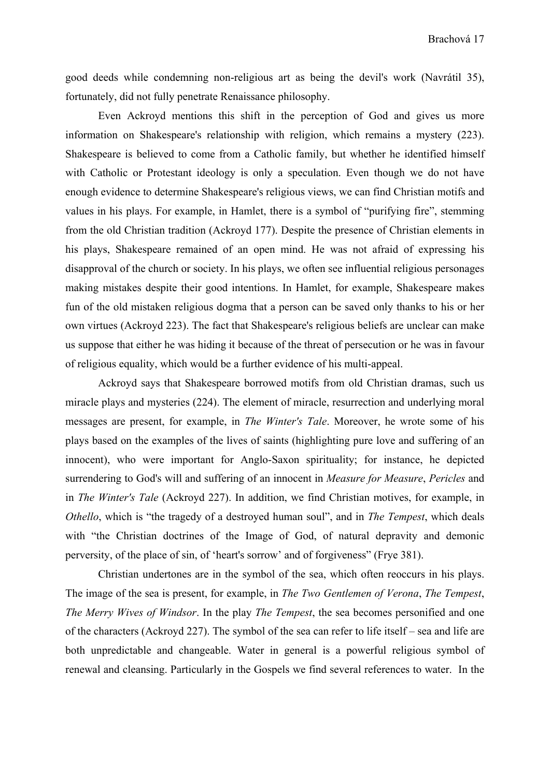good deeds while condemning non-religious art as being the devil's work (Navrátil 35), fortunately, did not fully penetrate Renaissance philosophy.

Even Ackroyd mentions this shift in the perception of God and gives us more information on Shakespeare's relationship with religion, which remains a mystery (223). Shakespeare is believed to come from a Catholic family, but whether he identified himself with Catholic or Protestant ideology is only a speculation. Even though we do not have enough evidence to determine Shakespeare's religious views, we can find Christian motifs and values in his plays. For example, in Hamlet, there is a symbol of "purifying fire", stemming from the old Christian tradition (Ackroyd 177). Despite the presence of Christian elements in his plays, Shakespeare remained of an open mind. He was not afraid of expressing his disapproval of the church or society. In his plays, we often see influential religious personages making mistakes despite their good intentions. In Hamlet, for example, Shakespeare makes fun of the old mistaken religious dogma that a person can be saved only thanks to his or her own virtues (Ackroyd 223). The fact that Shakespeare's religious beliefs are unclear can make us suppose that either he was hiding it because of the threat of persecution or he was in favour of religious equality, which would be a further evidence of his multi-appeal.

Ackroyd says that Shakespeare borrowed motifs from old Christian dramas, such us miracle plays and mysteries (224). The element of miracle, resurrection and underlying moral messages are present, for example, in *The Winter's Tale*. Moreover, he wrote some of his plays based on the examples of the lives of saints (highlighting pure love and suffering of an innocent), who were important for Anglo-Saxon spirituality; for instance, he depicted surrendering to God's will and suffering of an innocent in *Measure for Measure*, *Pericles* and in *The Winter's Tale* (Ackroyd 227). In addition, we find Christian motives, for example, in *Othello*, which is "the tragedy of a destroyed human soul", and in *The Tempest*, which deals with "the Christian doctrines of the Image of God, of natural depravity and demonic perversity, of the place of sin, of 'heart's sorrow' and of forgiveness'' (Frye 381).

Christian undertones are in the symbol of the sea, which often reoccurs in his plays. The image of the sea is present, for example, in *The Two Gentlemen of Verona*, *The Tempest*, *The Merry Wives of Windsor*. In the play *The Tempest*, the sea becomes personified and one of the characters (Ackroyd 227). The symbol of the sea can refer to life itself – sea and life are both unpredictable and changeable. Water in general is a powerful religious symbol of renewal and cleansing. Particularly in the Gospels we find several references to water. In the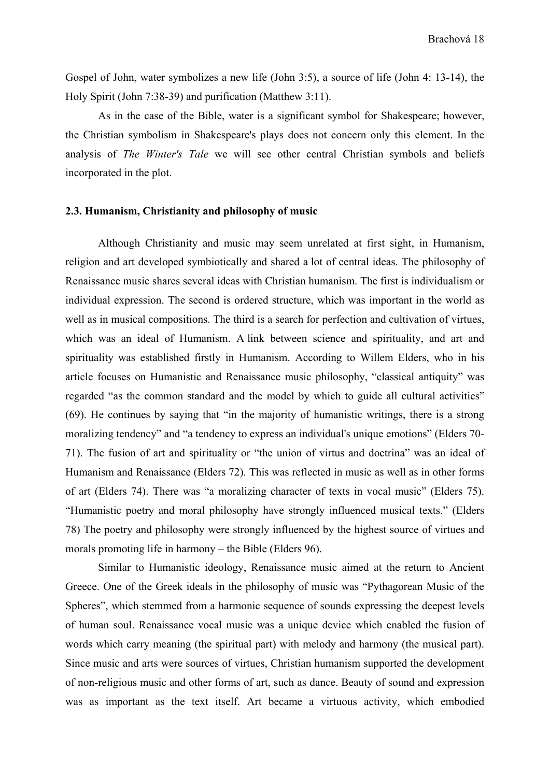Gospel of John, water symbolizes a new life (John 3:5), a source of life (John 4: 13-14), the Holy Spirit (John 7:38-39) and purification (Matthew 3:11).

As in the case of the Bible, water is a significant symbol for Shakespeare; however, the Christian symbolism in Shakespeare's plays does not concern only this element. In the analysis of *The Winter's Tale* we will see other central Christian symbols and beliefs incorporated in the plot.

#### **2.3. Humanism, Christianity and philosophy of music**

Although Christianity and music may seem unrelated at first sight, in Humanism, religion and art developed symbiotically and shared a lot of central ideas. The philosophy of Renaissance music shares several ideas with Christian humanism. The first is individualism or individual expression. The second is ordered structure, which was important in the world as well as in musical compositions. The third is a search for perfection and cultivation of virtues, which was an ideal of Humanism. A link between science and spirituality, and art and spirituality was established firstly in Humanism. According to Willem Elders, who in his article focuses on Humanistic and Renaissance music philosophy, "classical antiquity" was regarded "as the common standard and the model by which to guide all cultural activities" (69). He continues by saying that "in the majority of humanistic writings, there is a strong moralizing tendency" and "a tendency to express an individual's unique emotions" (Elders 70-71). The fusion of art and spirituality or "the union of virtus and doctrina" was an ideal of Humanism and Renaissance (Elders 72). This was reflected in music as well as in other forms of art (Elders 74). There was "a moralizing character of texts in vocal music" (Elders 75). "Humanistic poetry and moral philosophy have strongly influenced musical texts.ˮ (Elders 78) The poetry and philosophy were strongly influenced by the highest source of virtues and morals promoting life in harmony – the Bible (Elders 96).

Similar to Humanistic ideology, Renaissance music aimed at the return to Ancient Greece. One of the Greek ideals in the philosophy of music was "Pythagorean Music of the Spheres", which stemmed from a harmonic sequence of sounds expressing the deepest levels of human soul. Renaissance vocal music was a unique device which enabled the fusion of words which carry meaning (the spiritual part) with melody and harmony (the musical part). Since music and arts were sources of virtues, Christian humanism supported the development of non-religious music and other forms of art, such as dance. Beauty of sound and expression was as important as the text itself. Art became a virtuous activity, which embodied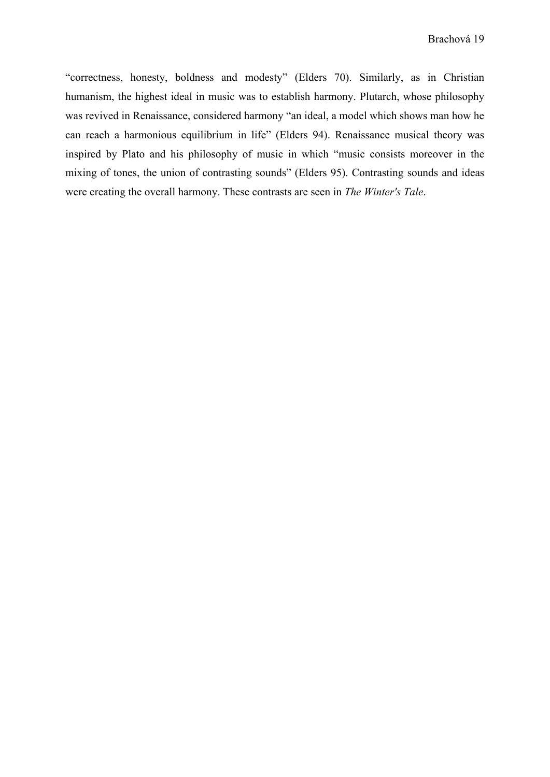"correctness, honesty, boldness and modesty" (Elders 70). Similarly, as in Christian humanism, the highest ideal in music was to establish harmony. Plutarch, whose philosophy was revived in Renaissance, considered harmony "an ideal, a model which shows man how he can reach a harmonious equilibrium in life" (Elders 94). Renaissance musical theory was inspired by Plato and his philosophy of music in which "music consists moreover in the mixing of tones, the union of contrasting sounds" (Elders 95). Contrasting sounds and ideas were creating the overall harmony. These contrasts are seen in *The Winter's Tale*.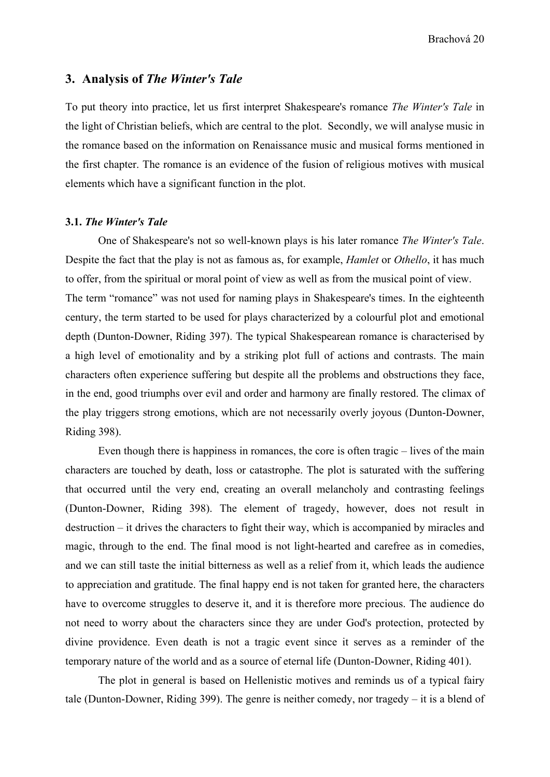#### **3. Analysis of** *The Winter's Tale*

To put theory into practice, let us first interpret Shakespeare's romance *The Winter's Tale* in the light of Christian beliefs, which are central to the plot. Secondly, we will analyse music in the romance based on the information on Renaissance music and musical forms mentioned in the first chapter. The romance is an evidence of the fusion of religious motives with musical elements which have a significant function in the plot.

#### **3.1.** *The Winter's Tale*

One of Shakespeare's not so well-known plays is his later romance *The Winter's Tale*. Despite the fact that the play is not as famous as, for example, *Hamlet* or *Othello*, it has much to offer, from the spiritual or moral point of view as well as from the musical point of view. The term "romance" was not used for naming plays in Shakespeare's times. In the eighteenth century, the term started to be used for plays characterized by a colourful plot and emotional depth (Dunton-Downer, Riding 397). The typical Shakespearean romance is characterised by a high level of emotionality and by a striking plot full of actions and contrasts. The main characters often experience suffering but despite all the problems and obstructions they face, in the end, good triumphs over evil and order and harmony are finally restored. The climax of the play triggers strong emotions, which are not necessarily overly joyous (Dunton-Downer, Riding 398).

Even though there is happiness in romances, the core is often tragic – lives of the main characters are touched by death, loss or catastrophe. The plot is saturated with the suffering that occurred until the very end, creating an overall melancholy and contrasting feelings (Dunton-Downer, Riding 398). The element of tragedy, however, does not result in destruction – it drives the characters to fight their way, which is accompanied by miracles and magic, through to the end. The final mood is not light-hearted and carefree as in comedies, and we can still taste the initial bitterness as well as a relief from it, which leads the audience to appreciation and gratitude. The final happy end is not taken for granted here, the characters have to overcome struggles to deserve it, and it is therefore more precious. The audience do not need to worry about the characters since they are under God's protection, protected by divine providence. Even death is not a tragic event since it serves as a reminder of the temporary nature of the world and as a source of eternal life (Dunton-Downer, Riding 401).

The plot in general is based on Hellenistic motives and reminds us of a typical fairy tale (Dunton-Downer, Riding 399). The genre is neither comedy, nor tragedy – it is a blend of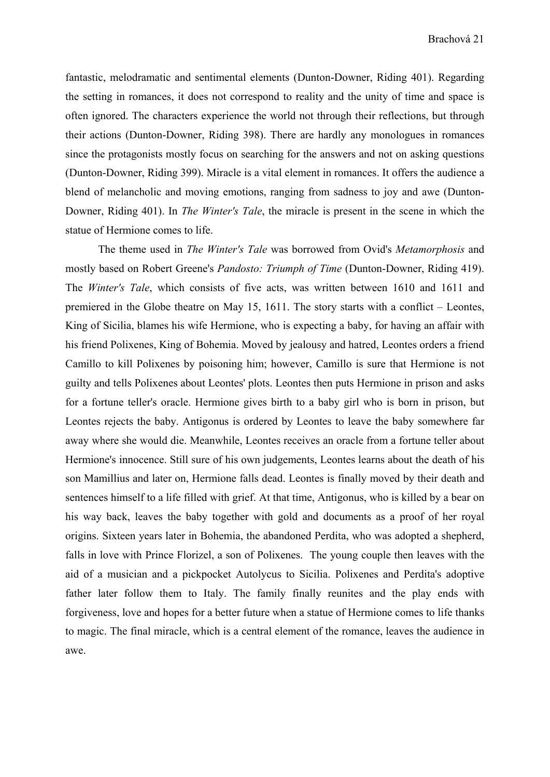fantastic, melodramatic and sentimental elements (Dunton-Downer, Riding 401). Regarding the setting in romances, it does not correspond to reality and the unity of time and space is often ignored. The characters experience the world not through their reflections, but through their actions (Dunton-Downer, Riding 398). There are hardly any monologues in romances since the protagonists mostly focus on searching for the answers and not on asking questions (Dunton-Downer, Riding 399). Miracle is a vital element in romances. It offers the audience a blend of melancholic and moving emotions, ranging from sadness to joy and awe (Dunton-Downer, Riding 401). In *The Winter's Tale*, the miracle is present in the scene in which the statue of Hermione comes to life.

The theme used in *The Winter's Tale* was borrowed from Ovid's *Metamorphosis* and mostly based on Robert Greene's *Pandosto: Triumph of Time* (Dunton-Downer, Riding 419). The *Winter's Tale*, which consists of five acts, was written between 1610 and 1611 and premiered in the Globe theatre on May 15, 1611. The story starts with a conflict – Leontes, King of Sicilia, blames his wife Hermione, who is expecting a baby, for having an affair with his friend Polixenes, King of Bohemia. Moved by jealousy and hatred, Leontes orders a friend Camillo to kill Polixenes by poisoning him; however, Camillo is sure that Hermione is not guilty and tells Polixenes about Leontes' plots. Leontes then puts Hermione in prison and asks for a fortune teller's oracle. Hermione gives birth to a baby girl who is born in prison, but Leontes rejects the baby. Antigonus is ordered by Leontes to leave the baby somewhere far away where she would die. Meanwhile, Leontes receives an oracle from a fortune teller about Hermione's innocence. Still sure of his own judgements, Leontes learns about the death of his son Mamillius and later on, Hermione falls dead. Leontes is finally moved by their death and sentences himself to a life filled with grief. At that time, Antigonus, who is killed by a bear on his way back, leaves the baby together with gold and documents as a proof of her royal origins. Sixteen years later in Bohemia, the abandoned Perdita, who was adopted a shepherd, falls in love with Prince Florizel, a son of Polixenes. The young couple then leaves with the aid of a musician and a pickpocket Autolycus to Sicilia. Polixenes and Perdita's adoptive father later follow them to Italy. The family finally reunites and the play ends with forgiveness, love and hopes for a better future when a statue of Hermione comes to life thanks to magic. The final miracle, which is a central element of the romance, leaves the audience in awe.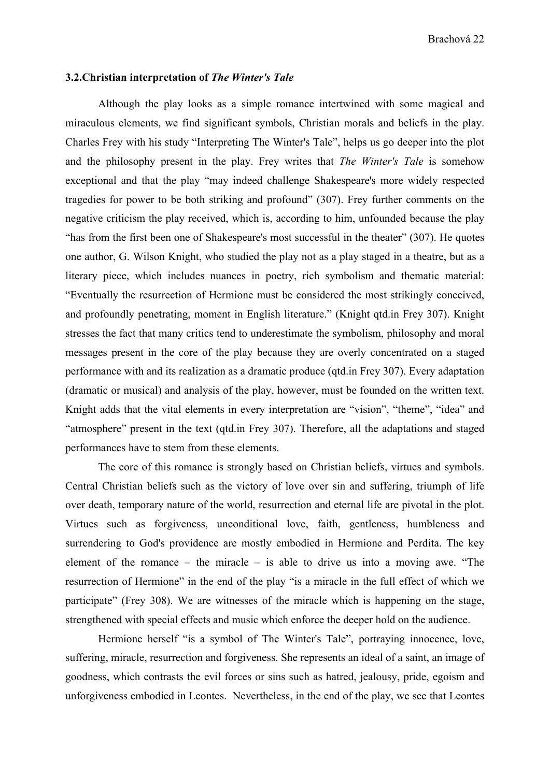#### **3.2.Christian interpretation of** *The Winter's Tale*

Although the play looks as a simple romance intertwined with some magical and miraculous elements, we find significant symbols, Christian morals and beliefs in the play. Charles Frey with his study "Interpreting The Winter's Tale", helps us go deeper into the plot and the philosophy present in the play. Frey writes that *The Winter's Tale* is somehow exceptional and that the play "may indeed challenge Shakespeare's more widely respected tragedies for power to be both striking and profound" (307). Frey further comments on the negative criticism the play received, which is, according to him, unfounded because the play "has from the first been one of Shakespeare's most successful in the theater" (307). He quotes one author, G. Wilson Knight, who studied the play not as a play staged in a theatre, but as a literary piece, which includes nuances in poetry, rich symbolism and thematic material: "Eventually the resurrection of Hermione must be considered the most strikingly conceived, and profoundly penetrating, moment in English literature." (Knight qtd.in Frey 307). Knight stresses the fact that many critics tend to underestimate the symbolism, philosophy and moral messages present in the core of the play because they are overly concentrated on a staged performance with and its realization as a dramatic produce (qtd.in Frey 307). Every adaptation (dramatic or musical) and analysis of the play, however, must be founded on the written text. Knight adds that the vital elements in every interpretation are "vision", "theme", "idea" and "atmosphere" present in the text (qtd.in Frey 307). Therefore, all the adaptations and staged performances have to stem from these elements.

The core of this romance is strongly based on Christian beliefs, virtues and symbols. Central Christian beliefs such as the victory of love over sin and suffering, triumph of life over death, temporary nature of the world, resurrection and eternal life are pivotal in the plot. Virtues such as forgiveness, unconditional love, faith, gentleness, humbleness and surrendering to God's providence are mostly embodied in Hermione and Perdita. The key element of the romance – the miracle – is able to drive us into a moving awe. "The resurrection of Hermione" in the end of the play "is a miracle in the full effect of which we participate" (Frey 308). We are witnesses of the miracle which is happening on the stage, strengthened with special effects and music which enforce the deeper hold on the audience.

Hermione herself "is a symbol of The Winter's Tale", portraying innocence, love, suffering, miracle, resurrection and forgiveness. She represents an ideal of a saint, an image of goodness, which contrasts the evil forces or sins such as hatred, jealousy, pride, egoism and unforgiveness embodied in Leontes. Nevertheless, in the end of the play, we see that Leontes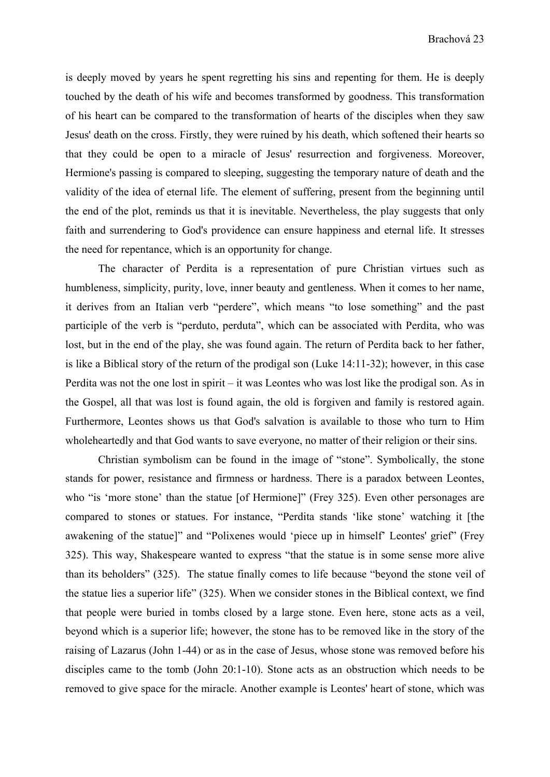is deeply moved by years he spent regretting his sins and repenting for them. He is deeply touched by the death of his wife and becomes transformed by goodness. This transformation of his heart can be compared to the transformation of hearts of the disciples when they saw Jesus' death on the cross. Firstly, they were ruined by his death, which softened their hearts so that they could be open to a miracle of Jesus' resurrection and forgiveness. Moreover, Hermione's passing is compared to sleeping, suggesting the temporary nature of death and the validity of the idea of eternal life. The element of suffering, present from the beginning until the end of the plot, reminds us that it is inevitable. Nevertheless, the play suggests that only faith and surrendering to God's providence can ensure happiness and eternal life. It stresses the need for repentance, which is an opportunity for change.

The character of Perdita is a representation of pure Christian virtues such as humbleness, simplicity, purity, love, inner beauty and gentleness. When it comes to her name, it derives from an Italian verb "perdere", which means "to lose something" and the past participle of the verb is "perduto, perduta", which can be associated with Perdita, who was lost, but in the end of the play, she was found again. The return of Perdita back to her father, is like a Biblical story of the return of the prodigal son (Luke 14:11-32); however, in this case Perdita was not the one lost in spirit – it was Leontes who was lost like the prodigal son. As in the Gospel, all that was lost is found again, the old is forgiven and family is restored again. Furthermore, Leontes shows us that God's salvation is available to those who turn to Him wholeheartedly and that God wants to save everyone, no matter of their religion or their sins.

Christian symbolism can be found in the image of "stone". Symbolically, the stone stands for power, resistance and firmness or hardness. There is a paradox between Leontes, who "is 'more stone' than the statue [of Hermione]" (Frey 325). Even other personages are compared to stones or statues. For instance, "Perdita stands 'like stone' watching it [the awakening of the statue]" and "Polixenes would 'piece up in himself' Leontes' grief" (Frey 325). This way, Shakespeare wanted to express "that the statue is in some sense more alive than its beholders" (325). The statue finally comes to life because "beyond the stone veil of the statue lies a superior life" (325). When we consider stones in the Biblical context, we find that people were buried in tombs closed by a large stone. Even here, stone acts as a veil, beyond which is a superior life; however, the stone has to be removed like in the story of the raising of Lazarus (John 1-44) or as in the case of Jesus, whose stone was removed before his disciples came to the tomb (John 20:1-10). Stone acts as an obstruction which needs to be removed to give space for the miracle. Another example is Leontes' heart of stone, which was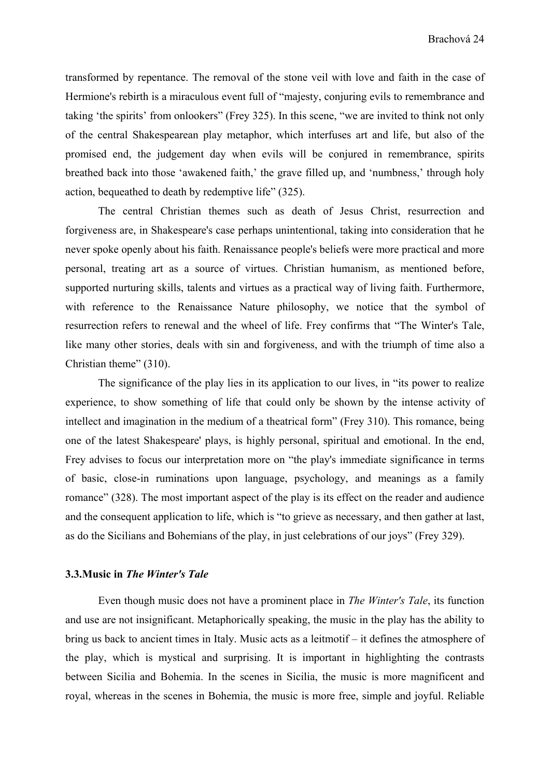transformed by repentance. The removal of the stone veil with love and faith in the case of Hermione's rebirth is a miraculous event full of "majesty, conjuring evils to remembrance and taking 'the spirits' from onlookers" (Frey 325). In this scene, "we are invited to think not only of the central Shakespearean play metaphor, which interfuses art and life, but also of the promised end, the judgement day when evils will be conjured in remembrance, spirits breathed back into those 'awakened faith,' the grave filled up, and 'numbness,' through holy action, bequeathed to death by redemptive life" (325).

The central Christian themes such as death of Jesus Christ, resurrection and forgiveness are, in Shakespeare's case perhaps unintentional, taking into consideration that he never spoke openly about his faith. Renaissance people's beliefs were more practical and more personal, treating art as a source of virtues. Christian humanism, as mentioned before, supported nurturing skills, talents and virtues as a practical way of living faith. Furthermore, with reference to the Renaissance Nature philosophy, we notice that the symbol of resurrection refers to renewal and the wheel of life. Frey confirms that "The Winter's Tale, like many other stories, deals with sin and forgiveness, and with the triumph of time also a Christian theme" (310).

The significance of the play lies in its application to our lives, in "its power to realize experience, to show something of life that could only be shown by the intense activity of intellect and imagination in the medium of a theatrical form" (Frey 310). This romance, being one of the latest Shakespeare' plays, is highly personal, spiritual and emotional. In the end, Frey advises to focus our interpretation more on "the play's immediate significance in terms of basic, close-in ruminations upon language, psychology, and meanings as a family romance" (328). The most important aspect of the play is its effect on the reader and audience and the consequent application to life, which is "to grieve as necessary, and then gather at last, as do the Sicilians and Bohemians of the play, in just celebrations of our joys" (Frey 329).

#### **3.3.Music in** *The Winter's Tale*

Even though music does not have a prominent place in *The Winter's Tale*, its function and use are not insignificant. Metaphorically speaking, the music in the play has the ability to bring us back to ancient times in Italy. Music acts as a leitmotif – it defines the atmosphere of the play, which is mystical and surprising. It is important in highlighting the contrasts between Sicilia and Bohemia. In the scenes in Sicilia, the music is more magnificent and royal, whereas in the scenes in Bohemia, the music is more free, simple and joyful. Reliable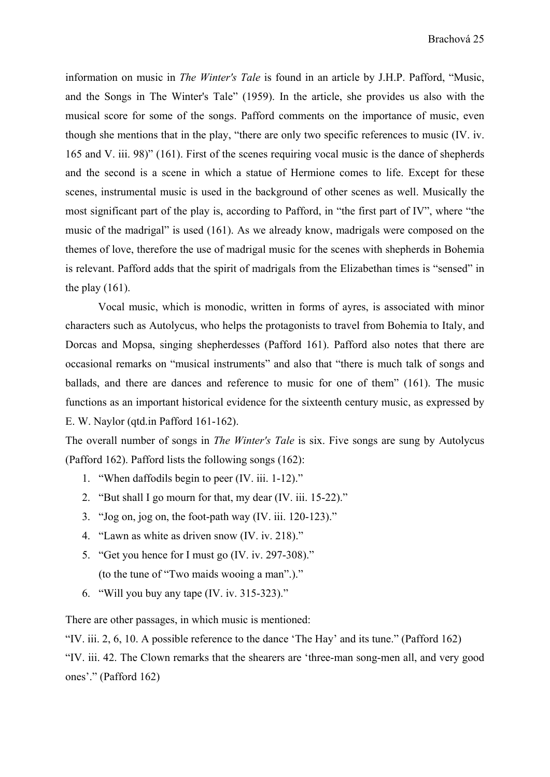information on music in *The Winter's Tale* is found in an article by J.H.P. Pafford, "Music, and the Songs in The Winter's Tale" (1959). In the article, she provides us also with the musical score for some of the songs. Pafford comments on the importance of music, even though she mentions that in the play, "there are only two specific references to music (IV. iv. 165 and V. iii. 98)" (161). First of the scenes requiring vocal music is the dance of shepherds and the second is a scene in which a statue of Hermione comes to life. Except for these scenes, instrumental music is used in the background of other scenes as well. Musically the most significant part of the play is, according to Pafford, in "the first part of IV", where "the music of the madrigal" is used (161). As we already know, madrigals were composed on the themes of love, therefore the use of madrigal music for the scenes with shepherds in Bohemia is relevant. Pafford adds that the spirit of madrigals from the Elizabethan times is "sensed" in the play  $(161)$ .

Vocal music, which is monodic, written in forms of ayres, is associated with minor characters such as Autolycus, who helps the protagonists to travel from Bohemia to Italy, and Dorcas and Mopsa, singing shepherdesses (Pafford 161). Pafford also notes that there are occasional remarks on "musical instruments" and also that "there is much talk of songs and ballads, and there are dances and reference to music for one of them" (161). The music functions as an important historical evidence for the sixteenth century music, as expressed by E. W. Naylor (qtd.in Pafford 161-162).

The overall number of songs in *The Winter's Tale* is six. Five songs are sung by Autolycus (Pafford 162). Pafford lists the following songs (162):

- 1. "When daffodils begin to peer (IV. iii. 1-12)."
- 2. "But shall I go mourn for that, my dear (IV. iii. 15-22)."
- 3. "Jog on, jog on, the foot-path way (IV. iii. 120-123)."
- 4. "Lawn as white as driven snow (IV. iv. 218)."
- 5. "Get you hence for I must go (IV. iv. 297-308)." (to the tune of "Two maids wooing a man".)."
- 6. "Will you buy any tape (IV. iv. 315-323)."

There are other passages, in which music is mentioned:

"IV. iii. 2, 6, 10. A possible reference to the dance 'The Hay' and its tune." (Pafford 162) "IV. iii. 42. The Clown remarks that the shearers are 'three-man song-men all, and very good ones'." (Pafford 162)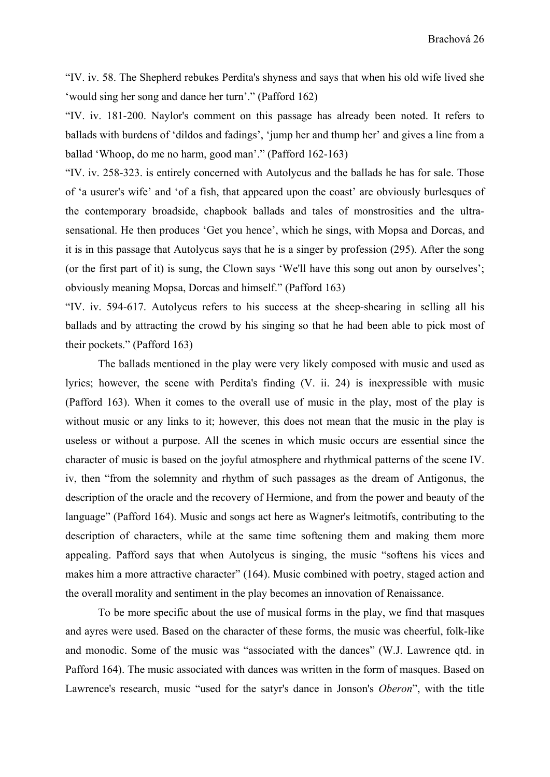"IV. iv. 58. The Shepherd rebukes Perdita's shyness and says that when his old wife lived she 'would sing her song and dance her turn'." (Pafford 162)

"IV. iv. 181-200. Naylor's comment on this passage has already been noted. It refers to ballads with burdens of 'dildos and fadings', 'jump her and thump her' and gives a line from a ballad 'Whoop, do me no harm, good man'." (Pafford 162-163)

"IV. iv. 258-323. is entirely concerned with Autolycus and the ballads he has for sale. Those of 'a usurer's wife' and 'of a fish, that appeared upon the coast' are obviously burlesques of the contemporary broadside, chapbook ballads and tales of monstrosities and the ultrasensational. He then produces 'Get you hence', which he sings, with Mopsa and Dorcas, and it is in this passage that Autolycus says that he is a singer by profession (295). After the song (or the first part of it) is sung, the Clown says 'We'll have this song out anon by ourselves'; obviously meaning Mopsa, Dorcas and himself." (Pafford 163)

"IV. iv. 594-617. Autolycus refers to his success at the sheep-shearing in selling all his ballads and by attracting the crowd by his singing so that he had been able to pick most of their pockets." (Pafford 163)

The ballads mentioned in the play were very likely composed with music and used as lyrics; however, the scene with Perdita's finding (V. ii. 24) is inexpressible with music (Pafford 163). When it comes to the overall use of music in the play, most of the play is without music or any links to it; however, this does not mean that the music in the play is useless or without a purpose. All the scenes in which music occurs are essential since the character of music is based on the joyful atmosphere and rhythmical patterns of the scene IV. iv, then "from the solemnity and rhythm of such passages as the dream of Antigonus, the description of the oracle and the recovery of Hermione, and from the power and beauty of the language" (Pafford 164). Music and songs act here as Wagner's leitmotifs, contributing to the description of characters, while at the same time softening them and making them more appealing. Pafford says that when Autolycus is singing, the music "softens his vices and makes him a more attractive character" (164). Music combined with poetry, staged action and the overall morality and sentiment in the play becomes an innovation of Renaissance.

To be more specific about the use of musical forms in the play, we find that masques and ayres were used. Based on the character of these forms, the music was cheerful, folk-like and monodic. Some of the music was "associated with the dances" (W.J. Lawrence qtd. in Pafford 164). The music associated with dances was written in the form of masques. Based on Lawrence's research, music "used for the satyr's dance in Jonson's *Oberon*", with the title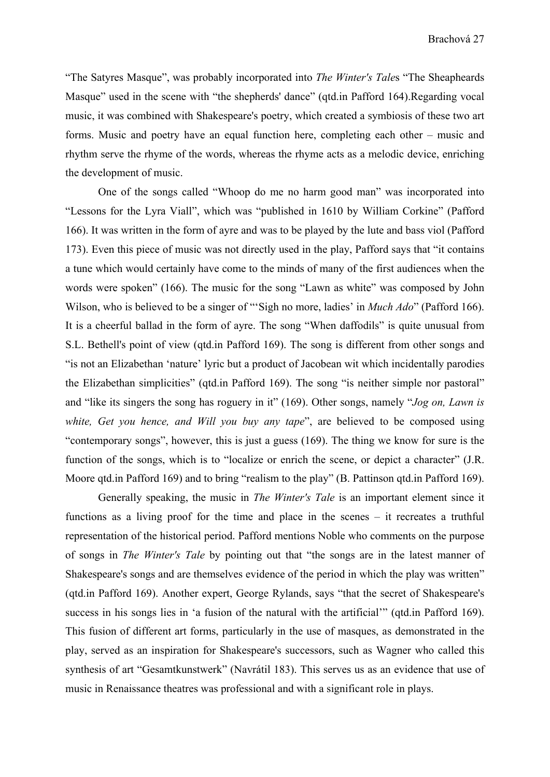"The Satyres Masque", was probably incorporated into *The Winter's Tale*s "The Sheapheards Masque" used in the scene with "the shepherds' dance" (qtd.in Pafford 164).Regarding vocal music, it was combined with Shakespeare's poetry, which created a symbiosis of these two art forms. Music and poetry have an equal function here, completing each other – music and rhythm serve the rhyme of the words, whereas the rhyme acts as a melodic device, enriching the development of music.

One of the songs called "Whoop do me no harm good man" was incorporated into "Lessons for the Lyra Viall", which was "published in 1610 by William Corkine" (Pafford 166). It was written in the form of ayre and was to be played by the lute and bass viol (Pafford 173). Even this piece of music was not directly used in the play, Pafford says that "it contains a tune which would certainly have come to the minds of many of the first audiences when the words were spoken" (166). The music for the song "Lawn as white" was composed by John Wilson, who is believed to be a singer of "'Sigh no more, ladies' in *Much Ado*" (Pafford 166). It is a cheerful ballad in the form of ayre. The song "When daffodils" is quite unusual from S.L. Bethell's point of view (qtd.in Pafford 169). The song is different from other songs and "is not an Elizabethan 'nature' lyric but a product of Jacobean wit which incidentally parodies the Elizabethan simplicities" (qtd.in Pafford 169). The song "is neither simple nor pastoral" and "like its singers the song has roguery in it" (169). Other songs, namely "*Jog on, Lawn is white, Get you hence, and Will you buy any tape*", are believed to be composed using "contemporary songs", however, this is just a guess (169). The thing we know for sure is the function of the songs, which is to "localize or enrich the scene, or depict a character" (J.R. Moore qtd.in Pafford 169) and to bring "realism to the play" (B. Pattinson qtd.in Pafford 169).

Generally speaking, the music in *The Winter's Tale* is an important element since it functions as a living proof for the time and place in the scenes – it recreates a truthful representation of the historical period. Pafford mentions Noble who comments on the purpose of songs in *The Winter's Tale* by pointing out that "the songs are in the latest manner of Shakespeare's songs and are themselves evidence of the period in which the play was written" (qtd.in Pafford 169). Another expert, George Rylands, says "that the secret of Shakespeare's success in his songs lies in 'a fusion of the natural with the artificial'" (qtd.in Pafford 169). This fusion of different art forms, particularly in the use of masques, as demonstrated in the play, served as an inspiration for Shakespeare's successors, such as Wagner who called this synthesis of art "Gesamtkunstwerk" (Navrátil 183). This serves us as an evidence that use of music in Renaissance theatres was professional and with a significant role in plays.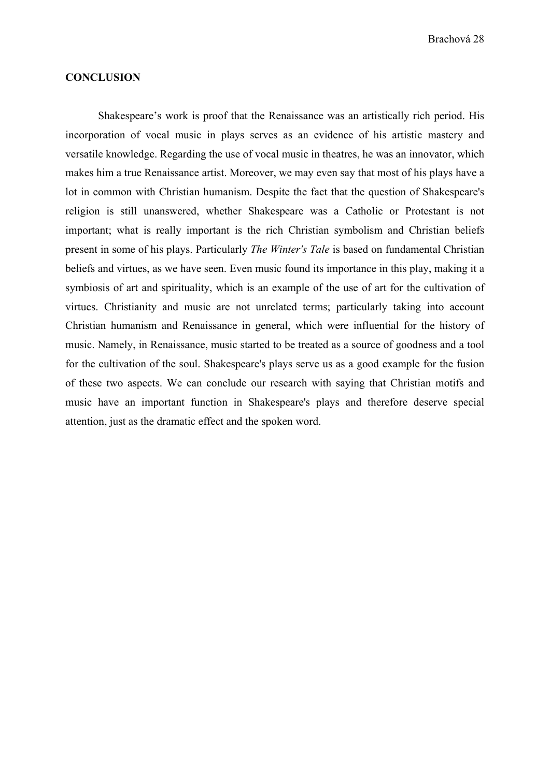Brachová 28

#### **CONCLUSION**

Shakespeare's work is proof that the Renaissance was an artistically rich period. His incorporation of vocal music in plays serves as an evidence of his artistic mastery and versatile knowledge. Regarding the use of vocal music in theatres, he was an innovator, which makes him a true Renaissance artist. Moreover, we may even say that most of his plays have a lot in common with Christian humanism. Despite the fact that the question of Shakespeare's religion is still unanswered, whether Shakespeare was a Catholic or Protestant is not important; what is really important is the rich Christian symbolism and Christian beliefs present in some of his plays. Particularly *The Winter's Tale* is based on fundamental Christian beliefs and virtues, as we have seen. Even music found its importance in this play, making it a symbiosis of art and spirituality, which is an example of the use of art for the cultivation of virtues. Christianity and music are not unrelated terms; particularly taking into account Christian humanism and Renaissance in general, which were influential for the history of music. Namely, in Renaissance, music started to be treated as a source of goodness and a tool for the cultivation of the soul. Shakespeare's plays serve us as a good example for the fusion of these two aspects. We can conclude our research with saying that Christian motifs and music have an important function in Shakespeare's plays and therefore deserve special attention, just as the dramatic effect and the spoken word.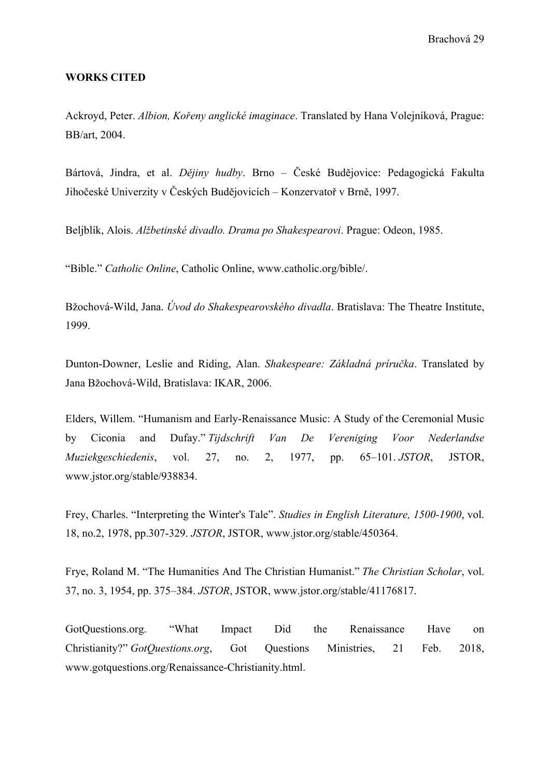Brachová 29

#### **WORKS CITED**

Ackroyd, Peter. *Albion, Kořeny anglické imaginace*. Translated by Hana Volejníková, Prague: BB/art, 2004.

Bártová, Jindra, et al. *Dějiny hudby*. Brno – České Budějovice: Pedagogická Fakulta Jihočeské Univerzity v Českých Budějovicích – Konzervatoř v Brně, 1997.

Beljblík, Alois. *Alžbetinské divadlo. Drama po Shakespearovi*. Prague: Odeon, 1985.

"Bible." *Catholic Online*, Catholic Online, www.catholic.org/bible/.

Bžochová-Wild, Jana. *Úvod do Shakespearovského divadla*. Bratislava: The Theatre Institute, 1999.

Dunton-Downer, Leslie and Riding, Alan. *Shakespeare: Základná príručka*. Translated by Jana Bžochová-Wild, Bratislava: IKAR, 2006.

Elders, Willem. "Humanism and Early-Renaissance Music: A Study of the Ceremonial Music by Ciconia and Dufay." *Tijdschrift Van De Vereniging Voor Nederlandse Muziekgeschiedenis*, vol. 27, no. 2, 1977, pp. 65–101. *JSTOR*, JSTOR, www.jstor.org/stable/938834.

Frey, Charles. "Interpreting the Winter's Tale". *Studies in English Literature, 1500-1900*, vol. 18, no.2, 1978, pp.307-329. *JSTOR*, JSTOR, www.jstor.org/stable/450364.

Frye, Roland M. "The Humanities And The Christian Humanist." *The Christian Scholar*, vol. 37, no. 3, 1954, pp. 375–384. *JSTOR*, JSTOR, www.jstor.org/stable/41176817.

GotQuestions.org. "What Impact Did the Renaissance Have on Christianity?" *GotQuestions.org*, Got Questions Ministries, 21 Feb. 2018, www.gotquestions.org/Renaissance-Christianity.html.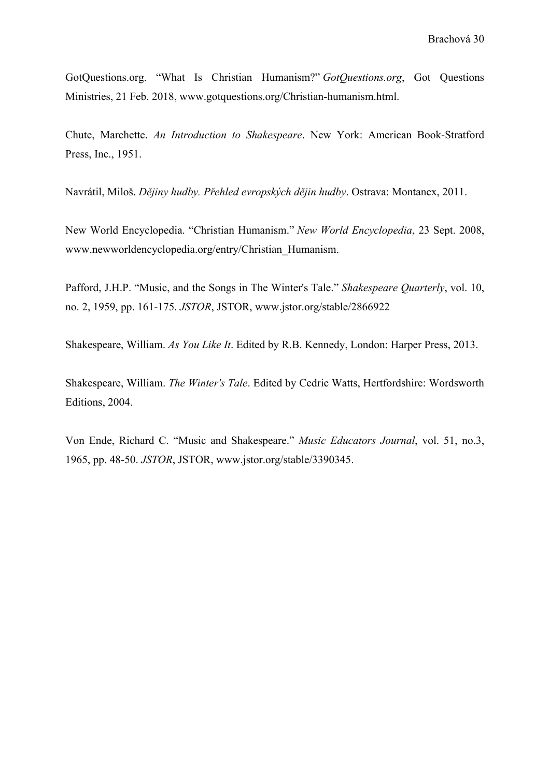GotQuestions.org. "What Is Christian Humanism?" *GotQuestions.org*, Got Questions Ministries, 21 Feb. 2018, www.gotquestions.org/Christian-humanism.html.

Chute, Marchette. *An Introduction to Shakespeare*. New York: American Book-Stratford Press, Inc., 1951.

Navrátil, Miloš. *Dějiny hudby. Přehled evropských dějin hudby*. Ostrava: Montanex, 2011.

New World Encyclopedia. "Christian Humanism." *New World Encyclopedia*, 23 Sept. 2008, www.newworldencyclopedia.org/entry/Christian\_Humanism.

Pafford, J.H.P. "Music, and the Songs in The Winter's Tale." *Shakespeare Quarterly*, vol. 10, no. 2, 1959, pp. 161-175. *JSTOR*, JSTOR, www.jstor.org/stable/2866922

Shakespeare, William. *As You Like It*. Edited by R.B. Kennedy, London: Harper Press, 2013.

Shakespeare, William. *The Winter's Tale*. Edited by Cedric Watts, Hertfordshire: Wordsworth Editions, 2004.

Von Ende, Richard C. "Music and Shakespeare." *Music Educators Journal*, vol. 51, no.3, 1965, pp. 48-50. *JSTOR*, JSTOR, www.jstor.org/stable/3390345.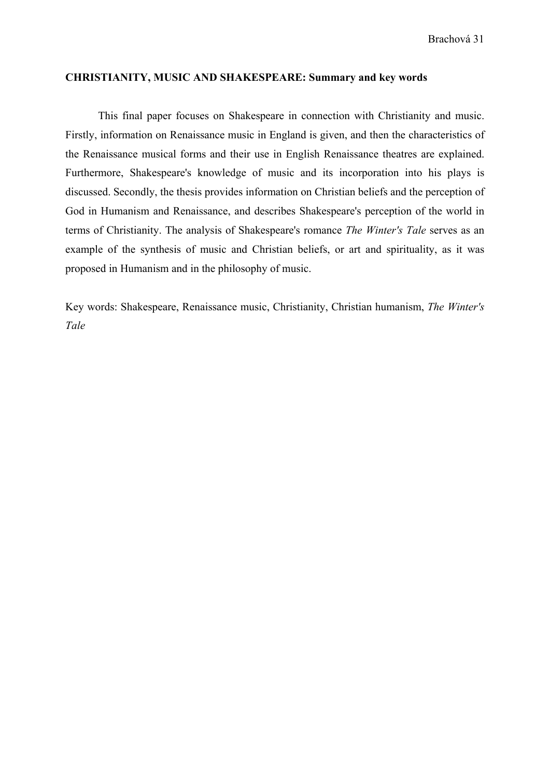#### **CHRISTIANITY, MUSIC AND SHAKESPEARE: Summary and key words**

This final paper focuses on Shakespeare in connection with Christianity and music. Firstly, information on Renaissance music in England is given, and then the characteristics of the Renaissance musical forms and their use in English Renaissance theatres are explained. Furthermore, Shakespeare's knowledge of music and its incorporation into his plays is discussed. Secondly, the thesis provides information on Christian beliefs and the perception of God in Humanism and Renaissance, and describes Shakespeare's perception of the world in terms of Christianity. The analysis of Shakespeare's romance *The Winter's Tale* serves as an example of the synthesis of music and Christian beliefs, or art and spirituality, as it was proposed in Humanism and in the philosophy of music.

Key words: Shakespeare, Renaissance music, Christianity, Christian humanism, *The Winter's Tale*